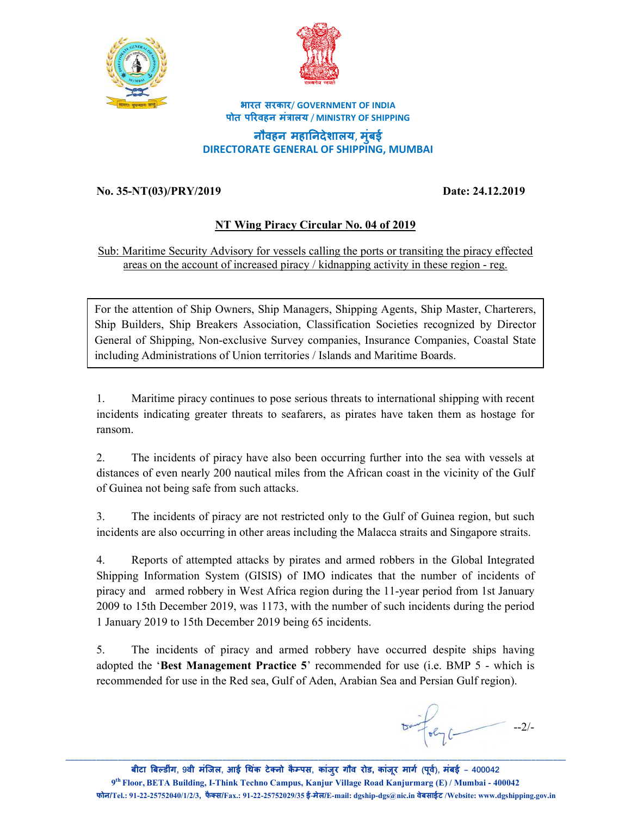



**भारत सरकार**/ **GOVERNMENT OF INDIA पोत प&रवहन मं(ालय** / **MINISTRY OF SHIPPING**

**नौवहन महा\*नदेशालय**, **मुंबई DIRECTORATE GENERAL OF SHIPPING, MUMBAI**

## **No. 35-NT(03)/PRY/2019 Date: 24.12.2019**

## **NT Wing Piracy Circular No. 04 of 2019**

Sub: Maritime Security Advisory for vessels calling the ports or transiting the piracy effected areas on the account of increased piracy / kidnapping activity in these region - reg.

For the attention of Ship Owners, Ship Managers, Shipping Agents, Ship Master, Charterers, Ship Builders, Ship Breakers Association, Classification Societies recognized by Director General of Shipping, Non-exclusive Survey companies, Insurance Companies, Coastal State including Administrations of Union territories / Islands and Maritime Boards.

1. Maritime piracy continues to pose serious threats to international shipping with recent incidents indicating greater threats to seafarers, as pirates have taken them as hostage for ransom.

2. The incidents of piracy have also been occurring further into the sea with vessels at distances of even nearly 200 nautical miles from the African coast in the vicinity of the Gulf of Guinea not being safe from such attacks.

3. The incidents of piracy are not restricted only to the Gulf of Guinea region, but such incidents are also occurring in other areas including the Malacca straits and Singapore straits.

4. Reports of attempted attacks by pirates and armed robbers in the Global Integrated Shipping Information System (GISIS) of IMO indicates that the number of incidents of piracy and armed robbery in West Africa region during the 11-year period from 1st January 2009 to 15th December 2019, was 1173, with the number of such incidents during the period 1 January 2019 to 15th December 2019 being 65 incidents.

5. The incidents of piracy and armed robbery have occurred despite ships having adopted the '**Best Management Practice 5**' recommended for use (i.e. BMP 5 - which is recommended for use in the Red sea, Gulf of Aden, Arabian Sea and Persian Gulf region).

 $tan \frac{1}{1} - 2/$ 

**बीटा ब डींग, वी मंिजल, आई थक टे नो कै पस ं , कांजुर गौव रोड, कांजूर माग" (पूव"), मंबई – 9 th Floor, BETA Building, I-Think Techno Campus, Kanjur Village Road Kanjurmarg (E) / Mumbai - 400042** फोन/Tel.: 91-22-25752040/1/2/3, फैक्स/Fax.: 91-22-25752029/35 ई-मेल/E-mail: dgship-dgs@nic.in वेबसाईट /Website: www.dgshipping.gov.in